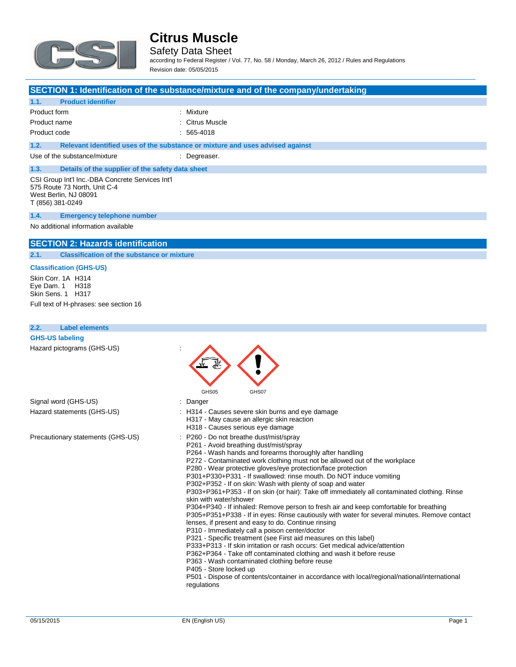

Safety Data Sheet

according to Federal Register / Vol. 77, No. 58 / Monday, March 26, 2012 / Rules and Regulations Revision date: 05/05/2015

#### **SECTION 1: Identification of the substance/mixture and of the company/undertaking**

| 1.1.<br><b>Product identifier</b>                                                                                             |                                                                               |
|-------------------------------------------------------------------------------------------------------------------------------|-------------------------------------------------------------------------------|
| Product form                                                                                                                  | : Mixture                                                                     |
| Product name                                                                                                                  | : Citrus Muscle                                                               |
| Product code                                                                                                                  | $: 565 - 4018$                                                                |
| 1.2.                                                                                                                          | Relevant identified uses of the substance or mixture and uses advised against |
| Use of the substance/mixture                                                                                                  | : Degreaser.                                                                  |
| 1.3.<br>Details of the supplier of the safety data sheet                                                                      |                                                                               |
| CSI Group Int'l Inc.-DBA Concrete Services Int'l<br>575 Route 73 North, Unit C-4<br>West Berlin, NJ 08091<br>T (856) 381-0249 |                                                                               |
| 1.4.<br><b>Emergency telephone number</b>                                                                                     |                                                                               |

No additional information available

#### **SECTION 2: Hazards identification**

**2.1. Classification of the substance or mixture**

#### **Classification (GHS-US)**

Skin Corr. 1A H314 Eye Dam. 1 H318 Skin Sens. 1 H317

Full text of H-phrases: see section 16

| <b>Label elements</b><br>2.2.                                                                                                                                                                                                                                                                                                                                                                                                                                                                                                                                                                                                                                                                                                                                                                                                                                                                                                                                                                                                                                                                                                                                                                                                                                                                                        |                                                                                                                                    |
|----------------------------------------------------------------------------------------------------------------------------------------------------------------------------------------------------------------------------------------------------------------------------------------------------------------------------------------------------------------------------------------------------------------------------------------------------------------------------------------------------------------------------------------------------------------------------------------------------------------------------------------------------------------------------------------------------------------------------------------------------------------------------------------------------------------------------------------------------------------------------------------------------------------------------------------------------------------------------------------------------------------------------------------------------------------------------------------------------------------------------------------------------------------------------------------------------------------------------------------------------------------------------------------------------------------------|------------------------------------------------------------------------------------------------------------------------------------|
| <b>GHS-US labeling</b>                                                                                                                                                                                                                                                                                                                                                                                                                                                                                                                                                                                                                                                                                                                                                                                                                                                                                                                                                                                                                                                                                                                                                                                                                                                                                               |                                                                                                                                    |
| Hazard pictograms (GHS-US)                                                                                                                                                                                                                                                                                                                                                                                                                                                                                                                                                                                                                                                                                                                                                                                                                                                                                                                                                                                                                                                                                                                                                                                                                                                                                           | GHS05<br>GHS07                                                                                                                     |
| Signal word (GHS-US)                                                                                                                                                                                                                                                                                                                                                                                                                                                                                                                                                                                                                                                                                                                                                                                                                                                                                                                                                                                                                                                                                                                                                                                                                                                                                                 | : Danger                                                                                                                           |
| Hazard statements (GHS-US)                                                                                                                                                                                                                                                                                                                                                                                                                                                                                                                                                                                                                                                                                                                                                                                                                                                                                                                                                                                                                                                                                                                                                                                                                                                                                           | : H314 - Causes severe skin burns and eye damage<br>H317 - May cause an allergic skin reaction<br>H318 - Causes serious eye damage |
| Precautionary statements (GHS-US)<br>P260 - Do not breathe dust/mist/spray<br>P261 - Avoid breathing dust/mist/spray<br>P264 - Wash hands and forearms thoroughly after handling<br>P272 - Contaminated work clothing must not be allowed out of the workplace<br>P280 - Wear protective gloves/eye protection/face protection<br>P301+P330+P331 - If swallowed: rinse mouth. Do NOT induce vomiting<br>P302+P352 - If on skin: Wash with plenty of soap and water<br>P303+P361+P353 - If on skin (or hair): Take off immediately all contaminated clothing. Rinse<br>skin with water/shower<br>P304+P340 - If inhaled: Remove person to fresh air and keep comfortable for breathing<br>P305+P351+P338 - If in eyes: Rinse cautiously with water for several minutes. Remove contact<br>lenses, if present and easy to do. Continue rinsing<br>P310 - Immediately call a poison center/doctor<br>P321 - Specific treatment (see First aid measures on this label)<br>P333+P313 - If skin irritation or rash occurs: Get medical advice/attention<br>P362+P364 - Take off contaminated clothing and wash it before reuse<br>P363 - Wash contaminated clothing before reuse<br>P405 - Store locked up<br>P501 - Dispose of contents/container in accordance with local/regional/national/international<br>regulations |                                                                                                                                    |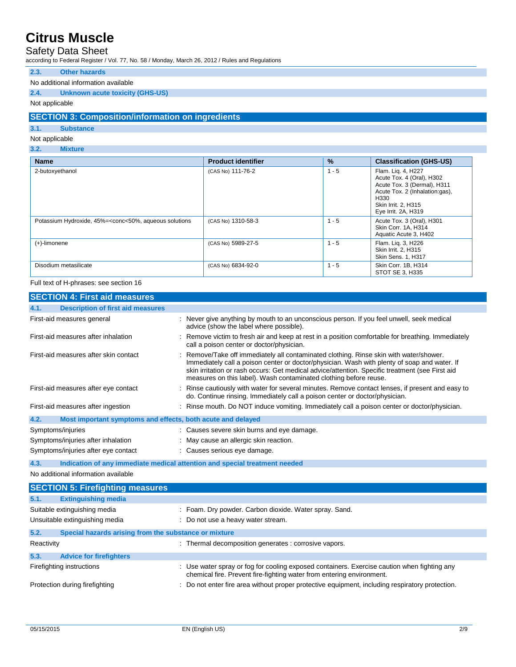### Safety Data Sheet

according to Federal Register / Vol. 77, No. 58 / Monday, March 26, 2012 / Rules and Regulations

#### **2.3. Other hazards**

#### No additional information available

#### **2.4. Unknown acute toxicity (GHS-US)**

#### Not applicable

#### **SECTION 3: Composition/information on ingredients**

#### **3.1. Substance**

#### Not applicable

#### **3.2. Mixture**

| <b>Name</b>                                                                                                                                                                                                                | <b>Product identifier</b> | $\%$    | <b>Classification (GHS-US)</b>                                                                                                                                         |
|----------------------------------------------------------------------------------------------------------------------------------------------------------------------------------------------------------------------------|---------------------------|---------|------------------------------------------------------------------------------------------------------------------------------------------------------------------------|
| 2-butoxyethanol                                                                                                                                                                                                            | (CAS No) 111-76-2         | $1 - 5$ | Flam. Lig. 4, H227<br>Acute Tox. 4 (Oral), H302<br>Acute Tox. 3 (Dermal), H311<br>Acute Tox. 2 (Inhalation:gas),<br>H330<br>Skin Irrit. 2, H315<br>Eye Irrit. 2A, H319 |
| Potassium Hydroxide, 45%= <conc<50%, aqueous="" solutions<="" td=""><td>(CAS No) 1310-58-3</td><td><math>1 - 5</math></td><td>Acute Tox. 3 (Oral), H301<br/>Skin Corr. 1A, H314<br/>Aquatic Acute 3, H402</td></conc<50%,> | (CAS No) 1310-58-3        | $1 - 5$ | Acute Tox. 3 (Oral), H301<br>Skin Corr. 1A, H314<br>Aquatic Acute 3, H402                                                                                              |
| $(+)$ -limonene                                                                                                                                                                                                            | (CAS No) 5989-27-5        | $1 - 5$ | Flam. Liq. 3, H226<br>Skin Irrit. 2, H315<br>Skin Sens. 1, H317                                                                                                        |
| Disodium metasilicate                                                                                                                                                                                                      | (CAS No) 6834-92-0        | $1 - 5$ | Skin Corr. 1B, H314<br>STOT SE 3, H335                                                                                                                                 |

#### Full text of H-phrases: see section 16

| <b>SECTION 4: First aid measures</b>                                               |                                                                                                                                                                                                                                                                                                                                                                |
|------------------------------------------------------------------------------------|----------------------------------------------------------------------------------------------------------------------------------------------------------------------------------------------------------------------------------------------------------------------------------------------------------------------------------------------------------------|
| <b>Description of first aid measures</b><br>4.1.                                   |                                                                                                                                                                                                                                                                                                                                                                |
| First-aid measures general                                                         | : Never give anything by mouth to an unconscious person. If you feel unwell, seek medical<br>advice (show the label where possible).                                                                                                                                                                                                                           |
| First-aid measures after inhalation                                                | : Remove victim to fresh air and keep at rest in a position comfortable for breathing. Immediately<br>call a poison center or doctor/physician.                                                                                                                                                                                                                |
| First-aid measures after skin contact                                              | : Remove/Take off immediately all contaminated clothing. Rinse skin with water/shower.<br>Immediately call a poison center or doctor/physician. Wash with plenty of soap and water. If<br>skin irritation or rash occurs: Get medical advice/attention. Specific treatment (see First aid<br>measures on this label). Wash contaminated clothing before reuse. |
| First-aid measures after eye contact                                               | : Rinse cautiously with water for several minutes. Remove contact lenses, if present and easy to<br>do. Continue rinsing. Immediately call a poison center or doctor/physician.                                                                                                                                                                                |
| First-aid measures after ingestion                                                 | : Rinse mouth. Do NOT induce vomiting. Immediately call a poison center or doctor/physician.                                                                                                                                                                                                                                                                   |
| 4.2.<br>Most important symptoms and effects, both acute and delayed                |                                                                                                                                                                                                                                                                                                                                                                |
| Symptoms/injuries                                                                  | : Causes severe skin burns and eye damage.                                                                                                                                                                                                                                                                                                                     |
| Symptoms/injuries after inhalation                                                 | : May cause an allergic skin reaction.                                                                                                                                                                                                                                                                                                                         |
| Symptoms/injuries after eye contact                                                | : Causes serious eye damage.                                                                                                                                                                                                                                                                                                                                   |
| 4.3.<br>Indication of any immediate medical attention and special treatment needed |                                                                                                                                                                                                                                                                                                                                                                |

No additional information available

|                                | <b>SECTION 5: Firefighting measures</b>               |                                                                                                                                                                      |
|--------------------------------|-------------------------------------------------------|----------------------------------------------------------------------------------------------------------------------------------------------------------------------|
| 5.1.                           | <b>Extinguishing media</b>                            |                                                                                                                                                                      |
|                                | Suitable extinguishing media                          | : Foam. Dry powder. Carbon dioxide. Water spray. Sand.                                                                                                               |
|                                | Unsuitable extinguishing media                        | : Do not use a heavy water stream.                                                                                                                                   |
| 5.2.                           | Special hazards arising from the substance or mixture |                                                                                                                                                                      |
| Reactivity                     |                                                       | : Thermal decomposition generates : corrosive vapors.                                                                                                                |
| 5.3.                           | <b>Advice for firefighters</b>                        |                                                                                                                                                                      |
|                                | Firefighting instructions                             | : Use water spray or fog for cooling exposed containers. Exercise caution when fighting any<br>chemical fire. Prevent fire-fighting water from entering environment. |
| Protection during firefighting |                                                       | : Do not enter fire area without proper protective equipment, including respiratory protection.                                                                      |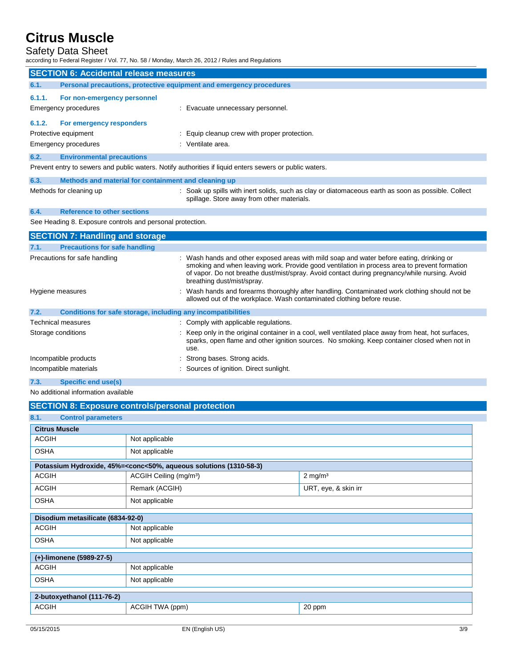# Safety Data Sheet<br>according to Federal Register / \

according to Federal Register March 26, 2012 / Rules and Regulations

|                                               | iccording to Federal Register / Vol. 77, No. 58 / Monday, March 26, 2012 / Rules and Regulations |                                                                                                                                                                                                                                                                                                                         |  |  |  |
|-----------------------------------------------|--------------------------------------------------------------------------------------------------|-------------------------------------------------------------------------------------------------------------------------------------------------------------------------------------------------------------------------------------------------------------------------------------------------------------------------|--|--|--|
| <b>SECTION 6: Accidental release measures</b> |                                                                                                  |                                                                                                                                                                                                                                                                                                                         |  |  |  |
| 6.1.                                          | Personal precautions, protective equipment and emergency procedures                              |                                                                                                                                                                                                                                                                                                                         |  |  |  |
| 6.1.1.                                        | For non-emergency personnel                                                                      |                                                                                                                                                                                                                                                                                                                         |  |  |  |
|                                               | <b>Emergency procedures</b>                                                                      | : Evacuate unnecessary personnel.                                                                                                                                                                                                                                                                                       |  |  |  |
| 6.1.2.                                        | For emergency responders                                                                         |                                                                                                                                                                                                                                                                                                                         |  |  |  |
|                                               | Protective equipment                                                                             | : Equip cleanup crew with proper protection.                                                                                                                                                                                                                                                                            |  |  |  |
|                                               | <b>Emergency procedures</b>                                                                      | : Ventilate area.                                                                                                                                                                                                                                                                                                       |  |  |  |
| 6.2.                                          | <b>Environmental precautions</b>                                                                 |                                                                                                                                                                                                                                                                                                                         |  |  |  |
|                                               |                                                                                                  | Prevent entry to sewers and public waters. Notify authorities if liquid enters sewers or public waters.                                                                                                                                                                                                                 |  |  |  |
| 6.3.                                          | Methods and material for containment and cleaning up                                             |                                                                                                                                                                                                                                                                                                                         |  |  |  |
|                                               | Methods for cleaning up                                                                          | : Soak up spills with inert solids, such as clay or diatomaceous earth as soon as possible. Collect<br>spillage. Store away from other materials.                                                                                                                                                                       |  |  |  |
| 6.4.                                          | <b>Reference to other sections</b>                                                               |                                                                                                                                                                                                                                                                                                                         |  |  |  |
|                                               | See Heading 8. Exposure controls and personal protection.                                        |                                                                                                                                                                                                                                                                                                                         |  |  |  |
|                                               | <b>SECTION 7: Handling and storage</b>                                                           |                                                                                                                                                                                                                                                                                                                         |  |  |  |
| 7.1.                                          | <b>Precautions for safe handling</b>                                                             |                                                                                                                                                                                                                                                                                                                         |  |  |  |
|                                               | Precautions for safe handling                                                                    | : Wash hands and other exposed areas with mild soap and water before eating, drinking or<br>smoking and when leaving work. Provide good ventilation in process area to prevent formation<br>of vapor. Do not breathe dust/mist/spray. Avoid contact during pregnancy/while nursing. Avoid<br>breathing dust/mist/spray. |  |  |  |
|                                               | Hygiene measures                                                                                 | Wash hands and forearms thoroughly after handling. Contaminated work clothing should not be<br>allowed out of the workplace. Wash contaminated clothing before reuse.                                                                                                                                                   |  |  |  |
| 7.2.                                          | Conditions for safe storage, including any incompatibilities                                     |                                                                                                                                                                                                                                                                                                                         |  |  |  |
|                                               | Technical measures                                                                               | : Comply with applicable regulations.                                                                                                                                                                                                                                                                                   |  |  |  |
|                                               | Storage conditions                                                                               | : Keep only in the original container in a cool, well ventilated place away from heat, hot surfaces,<br>sparks, open flame and other ignition sources. No smoking. Keep container closed when not in<br>use.                                                                                                            |  |  |  |
|                                               | Incompatible products                                                                            | : Strong bases. Strong acids.                                                                                                                                                                                                                                                                                           |  |  |  |
|                                               | Incompatible materials                                                                           | : Sources of ignition. Direct sunlight.                                                                                                                                                                                                                                                                                 |  |  |  |
| 7.3.                                          | <b>Specific end use(s)</b>                                                                       |                                                                                                                                                                                                                                                                                                                         |  |  |  |

No additional information available

|                                   | <b>SECTION 8: Exposure controls/personal protection</b>                                                  |                       |
|-----------------------------------|----------------------------------------------------------------------------------------------------------|-----------------------|
| 8.1.<br><b>Control parameters</b> |                                                                                                          |                       |
| <b>Citrus Muscle</b>              |                                                                                                          |                       |
| <b>ACGIH</b>                      | Not applicable                                                                                           |                       |
| <b>OSHA</b>                       | Not applicable                                                                                           |                       |
|                                   | Potassium Hydroxide, 45%= <conc<50%, (1310-58-3)<="" aqueous="" solutions="" th=""><th></th></conc<50%,> |                       |
| <b>ACGIH</b>                      | ACGIH Ceiling (mg/m <sup>3</sup> )                                                                       | $2$ mg/m <sup>3</sup> |
| <b>ACGIH</b>                      | Remark (ACGIH)                                                                                           | URT, eye, & skin irr  |
| <b>OSHA</b>                       | Not applicable                                                                                           |                       |
| Disodium metasilicate (6834-92-0) |                                                                                                          |                       |
| <b>ACGIH</b>                      | Not applicable                                                                                           |                       |
| <b>OSHA</b>                       | Not applicable                                                                                           |                       |
| (+)-limonene (5989-27-5)          |                                                                                                          |                       |
| <b>ACGIH</b>                      | Not applicable                                                                                           |                       |
| <b>OSHA</b>                       | Not applicable                                                                                           |                       |
| 2-butoxyethanol (111-76-2)        |                                                                                                          |                       |
| <b>ACGIH</b>                      | ACGIH TWA (ppm)                                                                                          | 20 ppm                |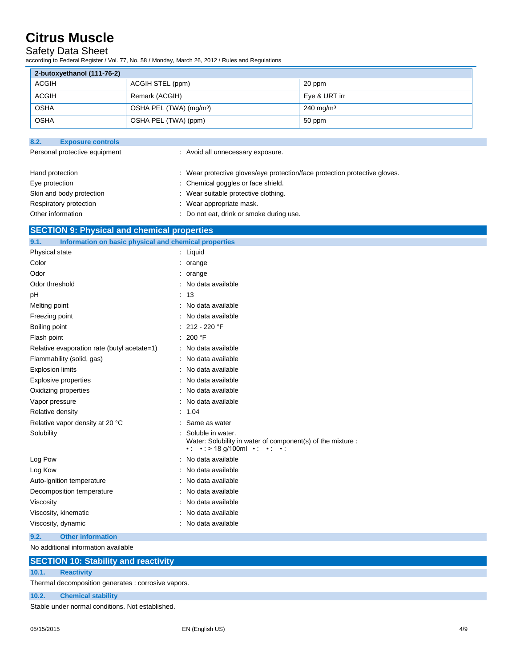### Safety Data Sheet

according to Federal Register / Vol. 77, No. 58 / Monday, March 26, 2012 / Rules and Regulations

| 2-butoxyethanol (111-76-2) |                                     |                         |  |  |
|----------------------------|-------------------------------------|-------------------------|--|--|
| <b>ACGIH</b>               | ACGIH STEL (ppm)                    | 20 ppm                  |  |  |
| <b>ACGIH</b>               | Remark (ACGIH)                      | Eye & URT irr           |  |  |
| <b>OSHA</b>                | OSHA PEL (TWA) (mg/m <sup>3</sup> ) | $240 \,\mathrm{mg/m^3}$ |  |  |
| <b>OSHA</b>                | OSHA PEL (TWA) (ppm)                | 50 ppm                  |  |  |

| 8.2.                          | <b>Exposure controls</b> |                                                                            |
|-------------------------------|--------------------------|----------------------------------------------------------------------------|
| Personal protective equipment |                          | : Avoid all unnecessary exposure.                                          |
| Hand protection               |                          | : Wear protective gloves/eye protection/face protection protective gloves. |
| Eye protection                |                          | : Chemical goggles or face shield.                                         |
|                               | Skin and body protection | : Wear suitable protective clothing.                                       |
|                               | Respiratory protection   | : Wear appropriate mask.                                                   |
|                               | Other information        | Do not eat, drink or smoke during use.                                     |

### **SECTION 9: Physical and chemical properties**

| 9.1.<br>Information on basic physical and chemical properties |                                                                                                                                                      |
|---------------------------------------------------------------|------------------------------------------------------------------------------------------------------------------------------------------------------|
| <b>Physical state</b>                                         | : Liquid                                                                                                                                             |
| Color                                                         | $:$ orange                                                                                                                                           |
| Odor                                                          | $:$ orange                                                                                                                                           |
| Odor threshold                                                | : No data available                                                                                                                                  |
| pH                                                            | : 13                                                                                                                                                 |
| Melting point                                                 | : No data available                                                                                                                                  |
| Freezing point                                                | : No data available                                                                                                                                  |
| Boiling point                                                 | $: 212 - 220$ °F                                                                                                                                     |
| Flash point                                                   | : 200 °F                                                                                                                                             |
| Relative evaporation rate (butyl acetate=1)                   | : No data available                                                                                                                                  |
| Flammability (solid, gas)                                     | : No data available                                                                                                                                  |
| <b>Explosion limits</b>                                       | : No data available                                                                                                                                  |
| Explosive properties                                          | : No data available                                                                                                                                  |
| Oxidizing properties                                          | : No data available                                                                                                                                  |
| Vapor pressure                                                | : No data available                                                                                                                                  |
| Relative density                                              | : 1.04                                                                                                                                               |
| Relative vapor density at 20 °C                               | : Same as water                                                                                                                                      |
| Solubility                                                    | : Soluble in water.<br>Water: Solubility in water of component(s) of the mixture :<br>$\cdot$ : $\cdot$ : > 18 g/100ml $\cdot$ : $\cdot$ : $\cdot$ : |
| Log Pow                                                       | : No data available                                                                                                                                  |
| Log Kow                                                       | : No data available                                                                                                                                  |
| Auto-ignition temperature                                     | : No data available                                                                                                                                  |
| Decomposition temperature                                     | : No data available                                                                                                                                  |
| Viscosity                                                     | : No data available                                                                                                                                  |
| Viscosity, kinematic                                          | : No data available                                                                                                                                  |
| Viscosity, dynamic                                            | : No data available                                                                                                                                  |

**9.2. Other information** No additional information available

| <b>SECTION 10: Stability and reactivity</b> |  |  |  |
|---------------------------------------------|--|--|--|

# **10.1. Reactivity**

Thermal decomposition generates : corrosive vapors.

#### **10.2. Chemical stability**

Stable under normal conditions. Not established.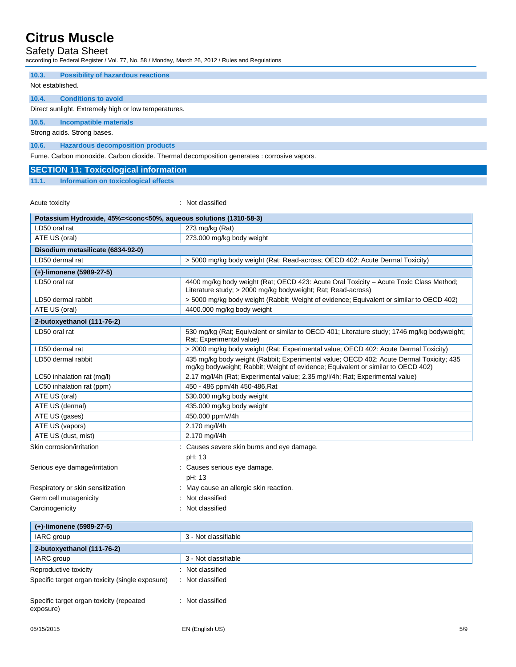### Safety Data Sheet

according to Federal Register / Vol. 77, No. 58 / Monday, March 26, 2012 / Rules and Regulations

**10.3. Possibility of hazardous reactions**

Not established.

#### **10.4. Conditions to avoid**

Direct sunlight. Extremely high or low temperatures.

**10.5. Incompatible materials**

Strong acids. Strong bases.

### **10.6. Hazardous decomposition products**

Fume. Carbon monoxide. Carbon dioxide. Thermal decomposition generates : corrosive vapors.

#### **SECTION 11: Toxicological information**

#### **11.1. Information on toxicological effects**

Acute toxicity in the contract of the classified in the classified in the classified in the classified in the classified in the classified in the classified in the classified in the classified in the classified in the clas

| Potassium Hydroxide, 45%= <conc<50%, (1310-58-3)<="" aqueous="" solutions="" th=""></conc<50%,> |                                                                                                                                                                             |  |
|-------------------------------------------------------------------------------------------------|-----------------------------------------------------------------------------------------------------------------------------------------------------------------------------|--|
| LD50 oral rat                                                                                   | 273 mg/kg (Rat)                                                                                                                                                             |  |
| ATE US (oral)                                                                                   | 273.000 mg/kg body weight                                                                                                                                                   |  |
| Disodium metasilicate (6834-92-0)                                                               |                                                                                                                                                                             |  |
| LD50 dermal rat                                                                                 | > 5000 mg/kg body weight (Rat; Read-across; OECD 402: Acute Dermal Toxicity)                                                                                                |  |
| (+)-limonene (5989-27-5)                                                                        |                                                                                                                                                                             |  |
| LD50 oral rat                                                                                   | 4400 mg/kg body weight (Rat; OECD 423: Acute Oral Toxicity - Acute Toxic Class Method;<br>Literature study; > 2000 mg/kg bodyweight; Rat; Read-across)                      |  |
| LD50 dermal rabbit                                                                              | > 5000 mg/kg body weight (Rabbit; Weight of evidence; Equivalent or similar to OECD 402)                                                                                    |  |
| ATE US (oral)                                                                                   | 4400.000 mg/kg body weight                                                                                                                                                  |  |
| 2-butoxyethanol (111-76-2)                                                                      |                                                                                                                                                                             |  |
| LD50 oral rat                                                                                   | 530 mg/kg (Rat; Equivalent or similar to OECD 401; Literature study; 1746 mg/kg bodyweight;<br>Rat: Experimental value)                                                     |  |
| LD50 dermal rat                                                                                 | > 2000 mg/kg body weight (Rat; Experimental value; OECD 402: Acute Dermal Toxicity)                                                                                         |  |
| LD50 dermal rabbit                                                                              | 435 mg/kg body weight (Rabbit; Experimental value; OECD 402: Acute Dermal Toxicity; 435<br>mg/kg bodyweight; Rabbit; Weight of evidence; Equivalent or similar to OECD 402) |  |
| LC50 inhalation rat (mg/l)                                                                      | 2.17 mg/l/4h (Rat; Experimental value; 2.35 mg/l/4h; Rat; Experimental value)                                                                                               |  |
| LC50 inhalation rat (ppm)                                                                       | 450 - 486 ppm/4h 450-486, Rat                                                                                                                                               |  |
| ATE US (oral)                                                                                   | 530.000 mg/kg body weight                                                                                                                                                   |  |
| ATE US (dermal)                                                                                 | 435.000 mg/kg body weight                                                                                                                                                   |  |
| ATE US (gases)                                                                                  | 450.000 ppmV/4h                                                                                                                                                             |  |
| ATE US (vapors)                                                                                 | 2.170 mg/l/4h                                                                                                                                                               |  |
| ATE US (dust, mist)                                                                             | 2.170 mg/l/4h                                                                                                                                                               |  |
| Skin corrosion/irritation                                                                       | : Causes severe skin burns and eye damage.<br>pH: 13                                                                                                                        |  |
| Serious eye damage/irritation                                                                   | : Causes serious eye damage.<br>pH: 13                                                                                                                                      |  |
| Respiratory or skin sensitization                                                               | May cause an allergic skin reaction.                                                                                                                                        |  |
| Germ cell mutagenicity                                                                          | Not classified                                                                                                                                                              |  |
| Carcinogenicity                                                                                 | Not classified                                                                                                                                                              |  |
| (+)-limonene (5989-27-5)                                                                        |                                                                                                                                                                             |  |
| <b>IARC</b> group                                                                               | 3 - Not classifiable                                                                                                                                                        |  |
| 2-butoxyethanol (111-76-2)                                                                      |                                                                                                                                                                             |  |
| IARC group                                                                                      | 3 - Not classifiable                                                                                                                                                        |  |
| Reproductive toxicity                                                                           | : Not classified                                                                                                                                                            |  |
| Specific target organ toxicity (single exposure)                                                | : Not classified                                                                                                                                                            |  |
| Specific target organ toxicity (repeated<br>exposure)                                           | : Not classified                                                                                                                                                            |  |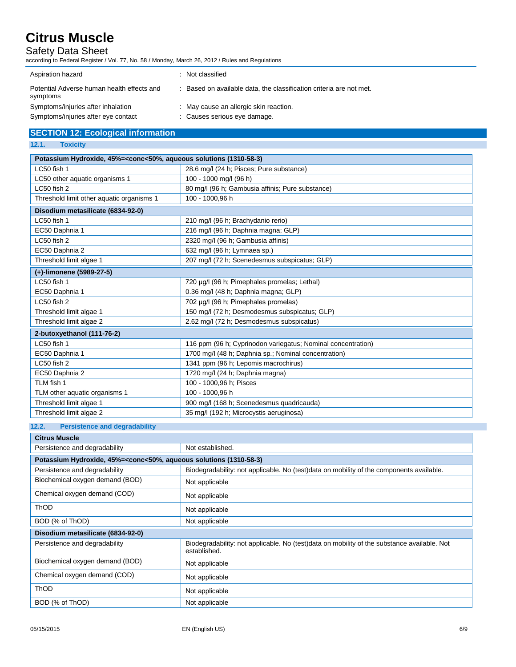### Safety Data Sheet

according to Federal Register / Vol. 77, No. 58 / Monday, March 26, 2012 / Rules and Regulations

| Aspiration hazard                                      | $\therefore$ Not classified                                       |
|--------------------------------------------------------|-------------------------------------------------------------------|
| Potential Adverse human health effects and<br>symptoms | Based on available data, the classification criteria are not met. |
| Symptoms/injuries after inhalation                     | : May cause an allergic skin reaction.                            |
| Symptoms/injuries after eye contact                    | : Causes serious eye damage.                                      |

# **SECTION 12: Ecological information**

#### **12.1. Toxicity**

| Potassium Hydroxide, 45%= <conc<50%, (1310-58-3)<="" aqueous="" solutions="" th=""></conc<50%,> |                                                              |  |
|-------------------------------------------------------------------------------------------------|--------------------------------------------------------------|--|
| LC50 fish 1                                                                                     | 28.6 mg/l (24 h; Pisces; Pure substance)                     |  |
| LC50 other aquatic organisms 1                                                                  | 100 - 1000 mg/l (96 h)                                       |  |
| LC50 fish 2                                                                                     | 80 mg/l (96 h; Gambusia affinis; Pure substance)             |  |
| Threshold limit other aquatic organisms 1                                                       | 100 - 1000,96 h                                              |  |
| Disodium metasilicate (6834-92-0)                                                               |                                                              |  |
| LC50 fish 1                                                                                     | 210 mg/l (96 h; Brachydanio rerio)                           |  |
| EC50 Daphnia 1                                                                                  | 216 mg/l (96 h; Daphnia magna; GLP)                          |  |
| LC50 fish 2                                                                                     | 2320 mg/l (96 h; Gambusia affinis)                           |  |
| EC50 Daphnia 2                                                                                  | 632 mg/l (96 h; Lymnaea sp.)                                 |  |
| Threshold limit algae 1                                                                         | 207 mg/l (72 h; Scenedesmus subspicatus; GLP)                |  |
| (+)-limonene (5989-27-5)                                                                        |                                                              |  |
| LC50 fish 1                                                                                     | 720 µg/l (96 h; Pimephales promelas; Lethal)                 |  |
| EC50 Daphnia 1                                                                                  | 0.36 mg/l (48 h; Daphnia magna; GLP)                         |  |
| LC50 fish 2                                                                                     | 702 µg/l (96 h; Pimephales promelas)                         |  |
| Threshold limit algae 1                                                                         | 150 mg/l (72 h; Desmodesmus subspicatus; GLP)                |  |
| Threshold limit algae 2                                                                         | 2.62 mg/l (72 h; Desmodesmus subspicatus)                    |  |
| 2-butoxyethanol (111-76-2)                                                                      |                                                              |  |
| LC50 fish 1                                                                                     | 116 ppm (96 h; Cyprinodon variegatus; Nominal concentration) |  |
| EC50 Daphnia 1                                                                                  | 1700 mg/l (48 h; Daphnia sp.; Nominal concentration)         |  |
| LC50 fish 2                                                                                     | 1341 ppm (96 h; Lepomis macrochirus)                         |  |
| EC50 Daphnia 2                                                                                  | 1720 mg/l (24 h; Daphnia magna)                              |  |
| TLM fish 1                                                                                      | 100 - 1000,96 h; Pisces                                      |  |
| TLM other aquatic organisms 1                                                                   | 100 - 1000.96 h                                              |  |
| Threshold limit algae 1                                                                         | 900 mg/l (168 h; Scenedesmus quadricauda)                    |  |
| Threshold limit algae 2                                                                         | 35 mg/l (192 h; Microcystis aeruginosa)                      |  |

### **12.2. Persistence and degradability**

| <b>Citrus Muscle</b>                                                                            |                                                                                                             |  |
|-------------------------------------------------------------------------------------------------|-------------------------------------------------------------------------------------------------------------|--|
| Persistence and degradability                                                                   | Not established.                                                                                            |  |
| Potassium Hydroxide, 45%= <conc<50%, (1310-58-3)<="" aqueous="" solutions="" th=""></conc<50%,> |                                                                                                             |  |
| Persistence and degradability                                                                   | Biodegradability: not applicable. No (test)data on mobility of the components available.                    |  |
| Biochemical oxygen demand (BOD)                                                                 | Not applicable                                                                                              |  |
| Chemical oxygen demand (COD)                                                                    | Not applicable                                                                                              |  |
| <b>ThOD</b>                                                                                     | Not applicable                                                                                              |  |
| BOD (% of ThOD)                                                                                 | Not applicable                                                                                              |  |
| Disodium metasilicate (6834-92-0)                                                               |                                                                                                             |  |
| Persistence and degradability                                                                   | Biodegradability: not applicable. No (test)data on mobility of the substance available. Not<br>established. |  |
| Biochemical oxygen demand (BOD)                                                                 | Not applicable                                                                                              |  |
| Chemical oxygen demand (COD)                                                                    | Not applicable                                                                                              |  |
| ThOD                                                                                            | Not applicable                                                                                              |  |
| BOD (% of ThOD)                                                                                 | Not applicable                                                                                              |  |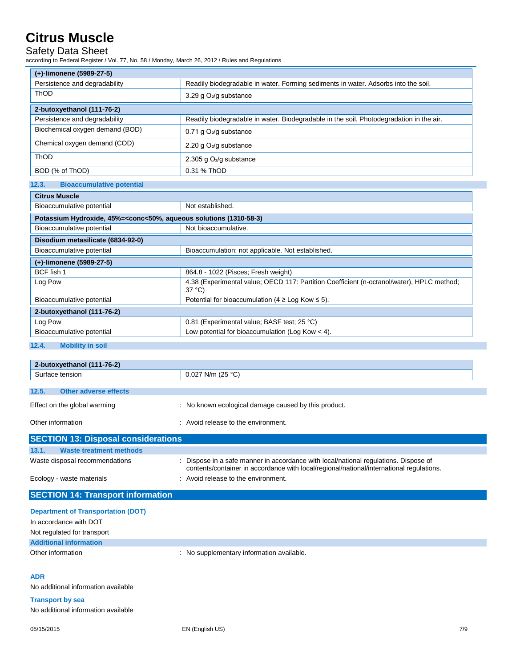### Safety Data Sheet

according to Federal Register / Vol. 77, No. 58 / Monday, March 26, 2012 / Rules and Regulations

| (+)-limonene (5989-27-5)        |                                                                                         |
|---------------------------------|-----------------------------------------------------------------------------------------|
| Persistence and degradability   | Readily biodegradable in water. Forming sediments in water. Adsorbs into the soil.      |
| ThOD                            | 3.29 g $O_2$ /g substance                                                               |
| 2-butoxyethanol (111-76-2)      |                                                                                         |
| Persistence and degradability   | Readily biodegradable in water. Biodegradable in the soil. Photodegradation in the air. |
| Biochemical oxygen demand (BOD) | 0.71 g $O_2$ /g substance                                                               |
| Chemical oxygen demand (COD)    | 2.20 g $O_2$ /g substance                                                               |
| <b>ThOD</b>                     | 2.305 g $O2/g$ substance                                                                |
| BOD (% of ThOD)                 | 0.31 % ThOD                                                                             |

#### **12.3. Bioaccumulative potential Citrus Muscle**

| Citrus Muscle                                                                                   |                                                                                                              |  |
|-------------------------------------------------------------------------------------------------|--------------------------------------------------------------------------------------------------------------|--|
| Bioaccumulative potential                                                                       | Not established.                                                                                             |  |
| Potassium Hydroxide, 45%= <conc<50%, (1310-58-3)<="" aqueous="" solutions="" th=""></conc<50%,> |                                                                                                              |  |
| Bioaccumulative potential                                                                       | Not bioaccumulative.                                                                                         |  |
| Disodium metasilicate (6834-92-0)                                                               |                                                                                                              |  |
| Bioaccumulative potential                                                                       | Bioaccumulation: not applicable. Not established.                                                            |  |
| (+)-limonene (5989-27-5)                                                                        |                                                                                                              |  |
| BCF fish 1                                                                                      | 864.8 - 1022 (Pisces: Fresh weight)                                                                          |  |
| Log Pow                                                                                         | 4.38 (Experimental value; OECD 117: Partition Coefficient (n-octanol/water), HPLC method;<br>$37^{\circ}$ C) |  |
| Bioaccumulative potential                                                                       | Potential for bioaccumulation (4 $\geq$ Log Kow $\leq$ 5).                                                   |  |
| 2-butoxyethanol (111-76-2)                                                                      |                                                                                                              |  |
| Log Pow                                                                                         | 0.81 (Experimental value; BASF test; 25 °C)                                                                  |  |
| Bioaccumulative potential                                                                       | Low potential for bioaccumulation (Log Kow $<$ 4).                                                           |  |
|                                                                                                 |                                                                                                              |  |

#### **12.4. Mobility in soil**

|                 | 2-butoxyethanol (111-76-2)                 |                                                                                                                                                                                  |  |
|-----------------|--------------------------------------------|----------------------------------------------------------------------------------------------------------------------------------------------------------------------------------|--|
| Surface tension |                                            | $0.027$ N/m (25 °C)                                                                                                                                                              |  |
| 12.5.           | <b>Other adverse effects</b>               |                                                                                                                                                                                  |  |
|                 | Effect on the global warming               | No known ecological damage caused by this product.                                                                                                                               |  |
|                 | Other information                          | : Avoid release to the environment.                                                                                                                                              |  |
|                 | <b>SECTION 13: Disposal considerations</b> |                                                                                                                                                                                  |  |
| 13.1.           | <b>Waste treatment methods</b>             |                                                                                                                                                                                  |  |
|                 | Waste disposal recommendations             | : Dispose in a safe manner in accordance with local/national regulations. Dispose of<br>contents/container in accordance with local/regional/national/international regulations. |  |

Ecology - waste materials **Example 20** in Avoid release to the environment.

### **SECTION 14: Transport information**

| <b>Department of Transportation (DOT)</b> |                                         |
|-------------------------------------------|-----------------------------------------|
| In accordance with DOT                    |                                         |
| Not regulated for transport               |                                         |
| <b>Additional information</b>             |                                         |
| Other information                         | No supplementary information available. |
|                                           |                                         |

#### **ADR**

No additional information available

**Transport by sea**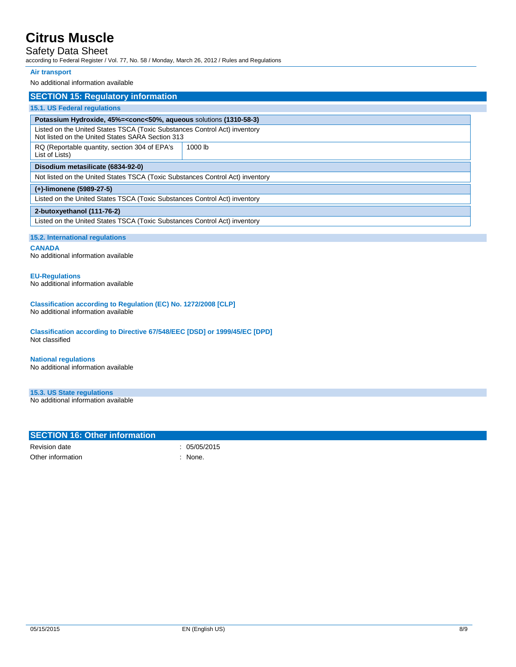## Safety Data Sheet

according to Federal Register / Vol. 77, No. 58 / Monday, March 26, 2012 / Rules and Regulations

#### **Air transport**

No additional information available

| <b>SECTION 15: Regulatory information</b>                                                                                     |  |  |
|-------------------------------------------------------------------------------------------------------------------------------|--|--|
| <b>15.1. US Federal regulations</b>                                                                                           |  |  |
| Potassium Hydroxide, 45%= <conc<50%, (1310-58-3)<="" aqueous="" solutions="" td=""></conc<50%,>                               |  |  |
| Listed on the United States TSCA (Toxic Substances Control Act) inventory<br>Not listed on the United States SARA Section 313 |  |  |
| 1000 lb                                                                                                                       |  |  |
| Disodium metasilicate (6834-92-0)                                                                                             |  |  |
| Not listed on the United States TSCA (Toxic Substances Control Act) inventory                                                 |  |  |
| (+)-limonene (5989-27-5)                                                                                                      |  |  |
| Listed on the United States TSCA (Toxic Substances Control Act) inventory                                                     |  |  |
| 2-butoxyethanol (111-76-2)                                                                                                    |  |  |
| Listed on the United States TSCA (Toxic Substances Control Act) inventory                                                     |  |  |
|                                                                                                                               |  |  |

#### **15.2. International regulations**

**CANADA**

No additional information available

# **EU-Regulations**

No additional information available

#### **Classification according to Regulation (EC) No. 1272/2008 [CLP]** No additional information available

**Classification according to Directive 67/548/EEC [DSD] or 1999/45/EC [DPD]** Not classified

# **National regulations**

No additional information available

### **15.3. US State regulations**

No additional information available

### **SECTION 16: Other information**

Revision date : 05/05/2015 Other information in the contract of the contract of the contract of the contract of the contract of the contract of the contract of the contract of the contract of the contract of the contract of the contract of the contr